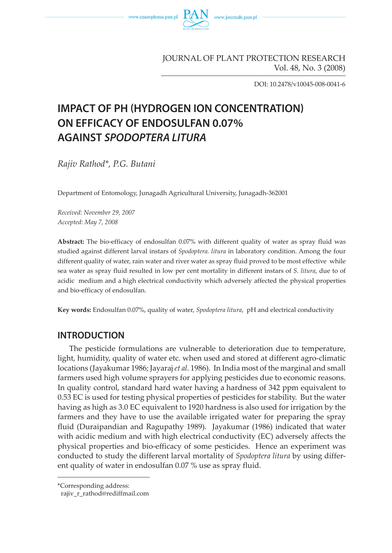

JOURNAL OF PLANT PROTECTION RESEARCH Vol. 48, No. 3 (2008)

DOI: 10.2478/v10045-008-0041-6

# **IMPACT OF PH (HYDROGEN ION CONCENTRATION) ON EFFICACY OF ENDOSULFAN 0.07% AGAINST SPODOPTERA LITURA**

*Rajiv Rathod\*, P.G. Butani*

Department of Entomology, Junagadh Agricultural University, Junagadh-362001

*Received: November 29, 2007 Accepted: May 7, 2008*

**Abstract:** The bio-efficacy of endosulfan 0.07% with different quality of water as spray fluid was studied against different larval instars of *Spodoptera. litura* in laboratory condition. Among the four different quality of water, rain water and river water as spray fluid proved to be most effective while sea water as spray fluid resulted in low per cent mortality in different instars of *S. litura*, due to of acidic medium and a high electrical conductivity which adversely affected the physical properties and bio-efficacy of endosulfan.

**Key words:** Endosulfan 0.07%, quality of water, *Spodoptera litura*, pH and electrical conductivity

## **INTRODUCTION**

The pesticide formulations are vulnerable to deterioration due to temperature, light, humidity, quality of water etc. when used and stored at different agro-climatic locations (Jayakumar 1986; Jayaraj *et al*. 1986). In India most of the marginal and small farmers used high volume sprayers for applying pesticides due to economic reasons. In quality control, standard hard water having a hardness of 342 ppm equivalent to 0.53 EC is used for testing physical properties of pesticides for stability. But the water having as high as 3.0 EC equivalent to 1920 hardness is also used for irrigation by the farmers and they have to use the available irrigated water for preparing the spray fluid (Duraipandian and Ragupathy 1989). Jayakumar (1986) indicated that water with acidic medium and with high electrical conductivity (EC) adversely affects the physical properties and bio-efficacy of some pesticides. Hence an experiment was conducted to study the different larval mortality of *Spodoptera litura* by using different quality of water in endosulfan 0.07 % use as spray fluid.

<sup>\*</sup>Corresponding address:

rajiv\_r\_rathod@rediffmail.com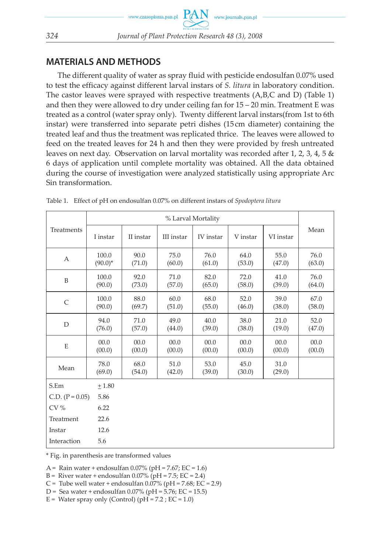## **MATERIALS AND METHODS**

The different quality of water as spray fluid with pesticide endosulfan 0.07% used to test the efficacy against different larval instars of *S. litura* in laboratory condition. The castor leaves were sprayed with respective treatments (A,B,C and D) (Table 1) and then they were allowed to dry under ceiling fan for 15 – 20 min. Treatment E was treated as a control (water spray only). Twenty different larval instars(from 1st to 6th instar) were transferred into separate petri dishes (15 cm diameter) containing the treated leaf and thus the treatment was replicated thrice. The leaves were allowed to feed on the treated leaves for 24 h and then they were provided by fresh untreated leaves on next day. Observation on larval mortality was recorded after 1, 2, 3, 4, 5 & 6 days of application until complete mortality was obtained. All the data obtained during the course of investigation were analyzed statistically using appropriate Arc Sin transformation.

| Treatments                | % Larval Mortality |                |                |                |                |                |                |
|---------------------------|--------------------|----------------|----------------|----------------|----------------|----------------|----------------|
|                           | I instar           | II instar      | III instar     | IV instar      | V instar       | VI instar      | Mean           |
| $\mathbf{A}$              | 100.0<br>$(90.0)*$ | 90.0<br>(71.0) | 75.0<br>(60.0) | 76.0<br>(61.0) | 64.0<br>(53.0) | 55.0<br>(47.0) | 76.0<br>(63.0) |
| B                         | 100.0<br>(90.0)    | 92.0<br>(73.0) | 71.0<br>(57.0) | 82.0<br>(65.0) | 72.0<br>(58.0) | 41.0<br>(39.0) | 76.0<br>(64.0) |
| $\mathsf{C}$              | 100.0<br>(90.0)    | 88.0<br>(69.7) | 60.0<br>(51.0) | 68.0<br>(55.0) | 52.0<br>(46.0) | 39.0<br>(38.0) | 67.0<br>(58.0) |
| D                         | 94.0<br>(76.0)     | 71.0<br>(57.0) | 49.0<br>(44.0) | 40.0<br>(39.0) | 38.0<br>(38.0) | 21.0<br>(19.0) | 52.0<br>(47.0) |
| E                         | 00.0<br>(00.0)     | 00.0<br>(00.0) | 00.0<br>(00.0) | 00.0<br>(00.0) | 00.0<br>(00.0) | 00.0<br>(00.0) | 00.0<br>(00.0) |
| Mean                      | 78.0<br>(69.0)     | 68.0<br>(54.0) | 51.0<br>(42.0) | 53.0<br>(39.0) | 45.0<br>(30.0) | 31.0<br>(29.0) |                |
| S.Em                      | $+1.80$            |                |                |                |                |                |                |
| C.D. $(P = 0.05)$<br>5.86 |                    |                |                |                |                |                |                |
| CV%                       | 6.22               |                |                |                |                |                |                |
| Treatment                 | 22.6               |                |                |                |                |                |                |
| Instar                    | 12.6               |                |                |                |                |                |                |
| Interaction               | 5.6                |                |                |                |                |                |                |

Table 1. Effect of pH on endosulfan 0.07% on different instars of *Spodoptera litura*

\* Fig. in parenthesis are transformed values

A = Rain water + endosulfan  $0.07\%$  (pH = 7.67; EC = 1.6)

B = River water + endosulfan  $0.07\%$  (pH = 7.5; EC = 2.4)

C = Tube well water + endosulfan  $0.07\%$  (pH =  $7.68$ ; EC =  $2.9$ )

- D = Sea water + endosulfan  $0.07\%$  (pH = 5.76; EC = 15.5)
- $E =$  Water spray only (Control) (pH = 7.2 ;  $EC = 1.0$ )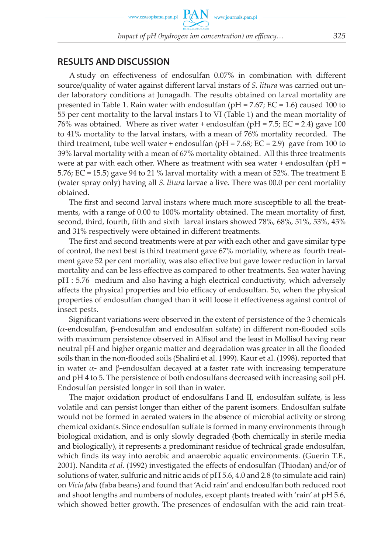### **RESULTS AND DISCUSSION**

A study on effectiveness of endosulfan 0.07% in combination with different source/quality of water against different larval instars of *S. litura* was carried out under laboratory conditions at Junagadh. The results obtained on larval mortality are presented in Table 1. Rain water with endosulfan (pH = 7.67; EC = 1.6) caused 100 to 55 per cent mortality to the larval instars I to VI (Table 1) and the mean mortality of 76% was obtained. Where as river water + endosulfan ( $pH = 7.5$ ; EC = 2.4) gave 100 to 41% mortality to the larval instars, with a mean of 76% mortality recorded. The third treatment, tube well water + endosulfan ( $pH = 7.68$ ;  $EC = 2.9$ ) gave from 100 to 39% larval mortality with a mean of 67% mortality obtained. All this three treatments were at par with each other. Where as treatment with sea water + endosulfan ( $pH =$ 5.76; EC = 15.5) gave 94 to 21 % larval mortality with a mean of 52%. The treatment E (water spray only) having all *S. litura* larvae a live. There was 00.0 per cent mortality obtained.

The first and second larval instars where much more susceptible to all the treatments, with a range of 0.00 to 100% mortality obtained. The mean mortality of first, second, third, fourth, fifth and sixth larval instars showed 78%, 68%, 51%, 53%, 45% and 31% respectively were obtained in different treatments.

The first and second treatments were at par with each other and gave similar type of control, the next best is third treatment gave 67% mortality, where as fourth treatment gave 52 per cent mortality, was also effective but gave lower reduction in larval mortality and can be less effective as compared to other treatments. Sea water having pH : 5.76 medium and also having a high electrical conductivity, which adversely affects the physical properties and bio efficacy of endosulfan. So, when the physical properties of endosulfan changed than it will loose it effectiveness against control of insect pests.

Significant variations were observed in the extent of persistence of the 3 chemicals (α-endosulfan, β-endosulfan and endosulfan sulfate) in different non-flooded soils with maximum persistence observed in Alfisol and the least in Mollisol having near neutral pH and higher organic matter and degradation was greater in all the flooded soils than in the non-flooded soils (Shalini et al. 1999). Kaur et al. (1998). reported that in water  $\alpha$ - and β-endosulfan decayed at a faster rate with increasing temperature and pH 4 to 5. The persistence of both endosulfans decreased with increasing soil pH. Endosulfan persisted longer in soil than in water.

The major oxidation product of endosulfans I and II, endosulfan sulfate, is less volatile and can persist longer than either of the parent isomers. Endosulfan sulfate would not be formed in aerated waters in the absence of microbial activity or strong chemical oxidants. Since endosulfan sulfate is formed in many environments through biological oxidation, and is only slowly degraded (both chemically in sterile media and biologically), it represents a predominant residue of technical grade endosulfan, which finds its way into aerobic and anaerobic aquatic environments. (Guerin T.F., 2001). Nandita *et al*. (1992) investigated the effects of endosulfan (Thiodan) and/or of solutions of water, sulfuric and nitric acids of pH 5.6, 4.0 and 2.8 (to simulate acid rain) on *Vicia faba* (faba beans) and found that 'Acid rain' and endosulfan both reduced root and shoot lengths and numbers of nodules, except plants treated with 'rain' at pH 5.6, which showed better growth. The presences of endosulfan with the acid rain treat-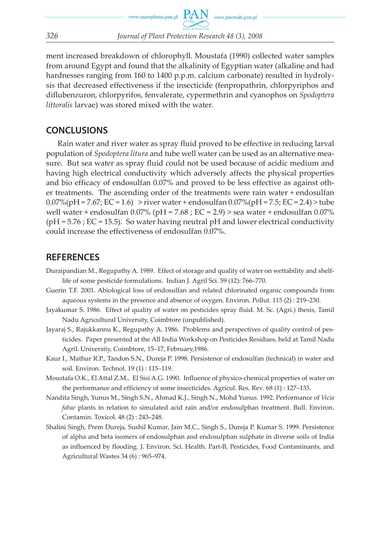

ment increased breakdown of chlorophyll. Moustafa (1990) collected water samples from around Egypt and found that the alkalinity of Egyptian water (alkaline and had hardnesses ranging from 160 to 1400 p.p.m. calcium carbonate) resulted in hydrolysis that decreased effectiveness if the insecticide (fenpropathrin, chlorpyriphos and diflubenzuron, chlorpyrifos, fenvalerate, cypermethrin and cyanophos on *Spodoptera littoralis* larvae) was stored mixed with the water.

#### **CONCLUSIONS**

Rain water and river water as spray fluid proved to be effective in reducing larval population of *Spodoptera litura* and tube well water can be used as an alternative measure. But sea water as spray fluid could not be used because of acidic medium and having high electrical conductivity which adversely affects the physical properties and bio efficacy of endosulfan 0.07% and proved to be less effective as against other treatments. The ascending order of the treatments were rain water + endosulfan  $0.07\%$ (pH = 7.67; EC = 1.6) > river water + endosulfan  $0.07\%$ (pH = 7.5; EC = 2.4) > tube well water + endosulfan  $0.07\%$  (pH = 7.68 ; EC = 2.9) > sea water + endosulfan 0.07%  $(pH = 5.76; EC = 15.5)$ . So water having neutral pH and lower electrical conductivity could increase the effectiveness of endosulfan 0.07%.

#### **REFERENCES**

- Duraipandian M., Regupathy A. 1989. Effect of storage and quality of water on wettability and shelflife of some pesticide formulations. Indian J. Agril Sci. 59 (12): 766–770.
- Guerin T.F. 2001. Abiological loss of endosulfan and related chlorinated organic compounds from aqueous systems in the presence and absence of oxygen. Environ. Pollut. 115 (2) : 219–230.
- Jayakumar S. 1986. Effect of quality of water on pesticides spray fluid. M. Sc. (Agri.) thesis, Tamil Nadu Agricultural University, Coimbtore (unpublished).
- Jayaraj S., Rajukkannu K., Regupathy A. 1986. Problems and perspectives of quality control of pesticides. Paper presented at the All India Workshop on Pesticides Residues, held at Tamil Nadu Agril. Universtiy, Coimbtore, 15–17, February,1986.
- Kaur I., Mathur R.P., Tandon S.N., Dureja P. 1998. Persistence of endosulfan (technical) in water and soil. Environ. Technol. 19 (1) : 115–119.
- Moustafa O.K., El Attal Z.M., El Sisi A.G. 1990. Influence of physico-chemical properties of water on the performance and efficiency of some insecticides. Agricul. Res. Rev*.* 68 (1) : 127–133.
- Nandita Singh, Yunus M., Singh S.N., Ahmad K.J., Singh N., Mohd Yunus. 1992. Performance of *Vicia fabae* plants in relation to simulated acid rain and/or endosulphan treatment. Bull. Environ. Contamin. Toxicol. 48 (2) : 243–248.
- Shalini Singh, Prem Dureja, Sushil Kumar, Jain M.C., Singh S., Dureja P. Kumar S. 1999. Persistence of alpha and beta isomers of endosulphan and endosulphan sulphate in diverse soils of India as influenced by flooding. J. Environ. Sci. Health. Part-B, Pesticides, Food Contaminants, and Agricultural Wastes 34 (6) : 965–974.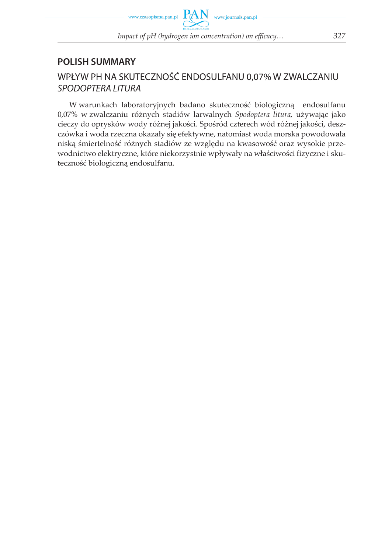

## **POLISH SUMMARY**

## WPŁYW PH NA SKUTECZNOŚĆ ENDOSULFANU 0,07% W ZWALCZANIU SPODOPTERA LITURA

W warunkach laboratoryjnych badano skuteczność biologiczną endosulfanu 0,07% w zwalczaniu różnych stadiów larwalnych *Spodoptera litura,* używając jako cieczy do oprysków wody różnej jakości. Spośród czterech wód różnej jakości, deszczówka i woda rzeczna okazały się efektywne, natomiast woda morska powodowała niską śmiertelność różnych stadiów ze względu na kwasowość oraz wysokie przewodnictwo elektryczne, które niekorzystnie wpływały na właściwości fizyczne i skuteczność biologiczną endosulfanu.